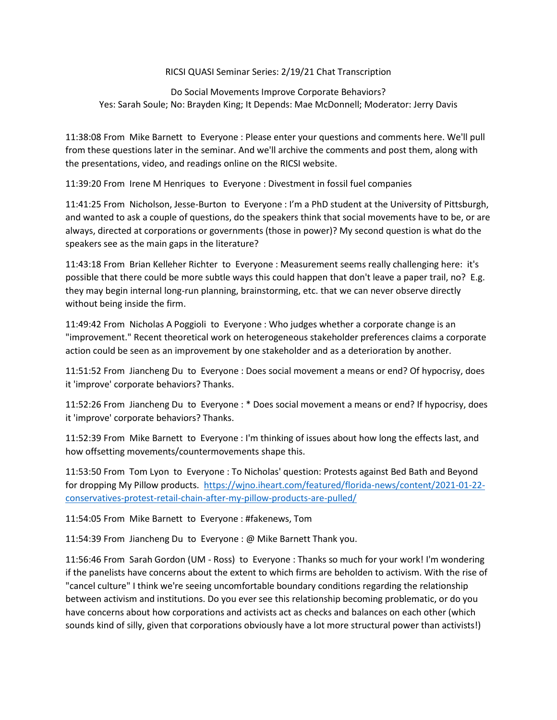## RICSI QUASI Seminar Series: 2/19/21 Chat Transcription

Do Social Movements Improve Corporate Behaviors? Yes: Sarah Soule; No: Brayden King; It Depends: Mae McDonnell; Moderator: Jerry Davis

11:38:08 From Mike Barnett to Everyone : Please enter your questions and comments here. We'll pull from these questions later in the seminar. And we'll archive the comments and post them, along with the presentations, video, and readings online on the RICSI website.

11:39:20 From Irene M Henriques to Everyone : Divestment in fossil fuel companies

11:41:25 From Nicholson, Jesse-Burton to Everyone : I'm a PhD student at the University of Pittsburgh, and wanted to ask a couple of questions, do the speakers think that social movements have to be, or are always, directed at corporations or governments (those in power)? My second question is what do the speakers see as the main gaps in the literature?

11:43:18 From Brian Kelleher Richter to Everyone : Measurement seems really challenging here: it's possible that there could be more subtle ways this could happen that don't leave a paper trail, no? E.g. they may begin internal long-run planning, brainstorming, etc. that we can never observe directly without being inside the firm.

11:49:42 From Nicholas A Poggioli to Everyone : Who judges whether a corporate change is an "improvement." Recent theoretical work on heterogeneous stakeholder preferences claims a corporate action could be seen as an improvement by one stakeholder and as a deterioration by another.

11:51:52 From Jiancheng Du to Everyone : Does social movement a means or end? Of hypocrisy, does it 'improve' corporate behaviors? Thanks.

11:52:26 From Jiancheng Du to Everyone : \* Does social movement a means or end? If hypocrisy, does it 'improve' corporate behaviors? Thanks.

11:52:39 From Mike Barnett to Everyone : I'm thinking of issues about how long the effects last, and how offsetting movements/countermovements shape this.

11:53:50 From Tom Lyon to Everyone : To Nicholas' question: Protests against Bed Bath and Beyond for dropping My Pillow products. [https://wjno.iheart.com/featured/florida-news/content/2021-01-22](https://wjno.iheart.com/featured/florida-news/content/2021-01-22-conservatives-protest-retail-chain-after-my-pillow-products-are-pulled/) [conservatives-protest-retail-chain-after-my-pillow-products-are-pulled/](https://wjno.iheart.com/featured/florida-news/content/2021-01-22-conservatives-protest-retail-chain-after-my-pillow-products-are-pulled/)

11:54:05 From Mike Barnett to Everyone : #fakenews, Tom

11:54:39 From Jiancheng Du to Everyone : @ Mike Barnett Thank you.

11:56:46 From Sarah Gordon (UM - Ross) to Everyone : Thanks so much for your work! I'm wondering if the panelists have concerns about the extent to which firms are beholden to activism. With the rise of "cancel culture" I think we're seeing uncomfortable boundary conditions regarding the relationship between activism and institutions. Do you ever see this relationship becoming problematic, or do you have concerns about how corporations and activists act as checks and balances on each other (which sounds kind of silly, given that corporations obviously have a lot more structural power than activists!)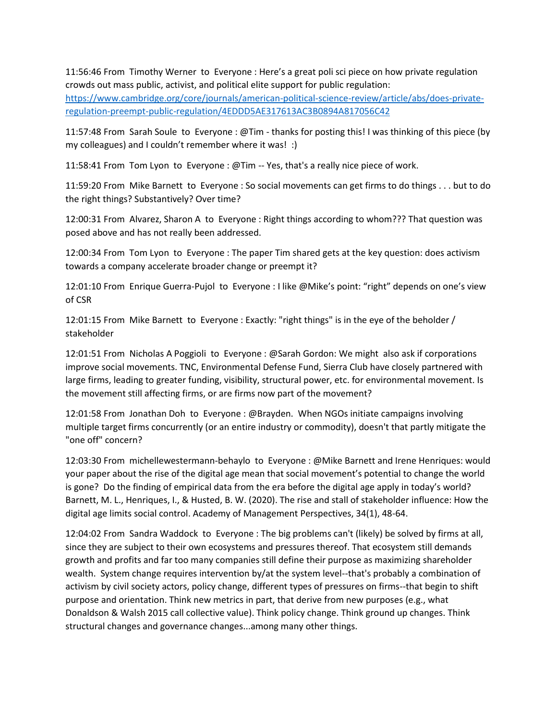11:56:46 From Timothy Werner to Everyone : Here's a great poli sci piece on how private regulation crowds out mass public, activist, and political elite support for public regulation:

[https://www.cambridge.org/core/journals/american-political-science-review/article/abs/does-private](https://www.cambridge.org/core/journals/american-political-science-review/article/abs/does-private-regulation-preempt-public-regulation/4EDDD5AE317613AC3B0894A817056C42)[regulation-preempt-public-regulation/4EDDD5AE317613AC3B0894A817056C42](https://www.cambridge.org/core/journals/american-political-science-review/article/abs/does-private-regulation-preempt-public-regulation/4EDDD5AE317613AC3B0894A817056C42)

11:57:48 From Sarah Soule to Everyone : @Tim - thanks for posting this! I was thinking of this piece (by my colleagues) and I couldn't remember where it was! :)

11:58:41 From Tom Lyon to Everyone : @Tim -- Yes, that's a really nice piece of work.

11:59:20 From Mike Barnett to Everyone : So social movements can get firms to do things . . . but to do the right things? Substantively? Over time?

12:00:31 From Alvarez, Sharon A to Everyone : Right things according to whom??? That question was posed above and has not really been addressed.

12:00:34 From Tom Lyon to Everyone : The paper Tim shared gets at the key question: does activism towards a company accelerate broader change or preempt it?

12:01:10 From Enrique Guerra-Pujol to Everyone : I like @Mike's point: "right" depends on one's view of CSR

12:01:15 From Mike Barnett to Everyone : Exactly: "right things" is in the eye of the beholder / stakeholder

12:01:51 From Nicholas A Poggioli to Everyone : @Sarah Gordon: We might also ask if corporations improve social movements. TNC, Environmental Defense Fund, Sierra Club have closely partnered with large firms, leading to greater funding, visibility, structural power, etc. for environmental movement. Is the movement still affecting firms, or are firms now part of the movement?

12:01:58 From Jonathan Doh to Everyone : @Brayden. When NGOs initiate campaigns involving multiple target firms concurrently (or an entire industry or commodity), doesn't that partly mitigate the "one off" concern?

12:03:30 From michellewestermann-behaylo to Everyone : @Mike Barnett and Irene Henriques: would your paper about the rise of the digital age mean that social movement's potential to change the world is gone? Do the finding of empirical data from the era before the digital age apply in today's world? Barnett, M. L., Henriques, I., & Husted, B. W. (2020). The rise and stall of stakeholder influence: How the digital age limits social control. Academy of Management Perspectives, 34(1), 48-64.

12:04:02 From Sandra Waddock to Everyone : The big problems can't (likely) be solved by firms at all, since they are subject to their own ecosystems and pressures thereof. That ecosystem still demands growth and profits and far too many companies still define their purpose as maximizing shareholder wealth. System change requires intervention by/at the system level--that's probably a combination of activism by civil society actors, policy change, different types of pressures on firms--that begin to shift purpose and orientation. Think new metrics in part, that derive from new purposes (e.g., what Donaldson & Walsh 2015 call collective value). Think policy change. Think ground up changes. Think structural changes and governance changes...among many other things.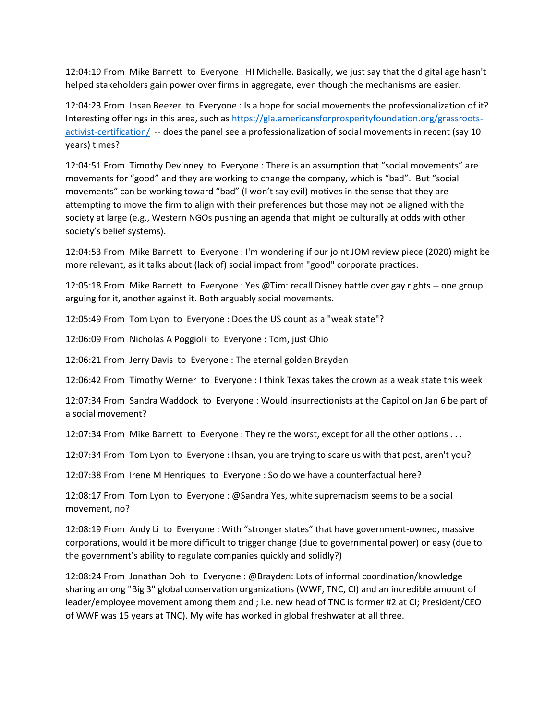12:04:19 From Mike Barnett to Everyone : HI Michelle. Basically, we just say that the digital age hasn't helped stakeholders gain power over firms in aggregate, even though the mechanisms are easier.

12:04:23 From Ihsan Beezer to Everyone : Is a hope for social movements the professionalization of it? Interesting offerings in this area, such as [https://gla.americansforprosperityfoundation.org/grassroots](https://gla.americansforprosperityfoundation.org/grassroots-activist-certification/)[activist-certification/](https://gla.americansforprosperityfoundation.org/grassroots-activist-certification/) -- does the panel see a professionalization of social movements in recent (say 10 years) times?

12:04:51 From Timothy Devinney to Everyone : There is an assumption that "social movements" are movements for "good" and they are working to change the company, which is "bad". But "social movements" can be working toward "bad" (I won't say evil) motives in the sense that they are attempting to move the firm to align with their preferences but those may not be aligned with the society at large (e.g., Western NGOs pushing an agenda that might be culturally at odds with other society's belief systems).

12:04:53 From Mike Barnett to Everyone : I'm wondering if our joint JOM review piece (2020) might be more relevant, as it talks about (lack of) social impact from "good" corporate practices.

12:05:18 From Mike Barnett to Everyone : Yes @Tim: recall Disney battle over gay rights -- one group arguing for it, another against it. Both arguably social movements.

12:05:49 From Tom Lyon to Everyone : Does the US count as a "weak state"?

12:06:09 From Nicholas A Poggioli to Everyone : Tom, just Ohio

12:06:21 From Jerry Davis to Everyone : The eternal golden Brayden

12:06:42 From Timothy Werner to Everyone : I think Texas takes the crown as a weak state this week

12:07:34 From Sandra Waddock to Everyone : Would insurrectionists at the Capitol on Jan 6 be part of a social movement?

12:07:34 From Mike Barnett to Everyone : They're the worst, except for all the other options . . .

12:07:34 From Tom Lyon to Everyone : Ihsan, you are trying to scare us with that post, aren't you?

12:07:38 From Irene M Henriques to Everyone : So do we have a counterfactual here?

12:08:17 From Tom Lyon to Everyone : @Sandra Yes, white supremacism seems to be a social movement, no?

12:08:19 From Andy Li to Everyone : With "stronger states" that have government-owned, massive corporations, would it be more difficult to trigger change (due to governmental power) or easy (due to the government's ability to regulate companies quickly and solidly?)

12:08:24 From Jonathan Doh to Everyone : @Brayden: Lots of informal coordination/knowledge sharing among "Big 3" global conservation organizations (WWF, TNC, CI) and an incredible amount of leader/employee movement among them and ; i.e. new head of TNC is former #2 at CI; President/CEO of WWF was 15 years at TNC). My wife has worked in global freshwater at all three.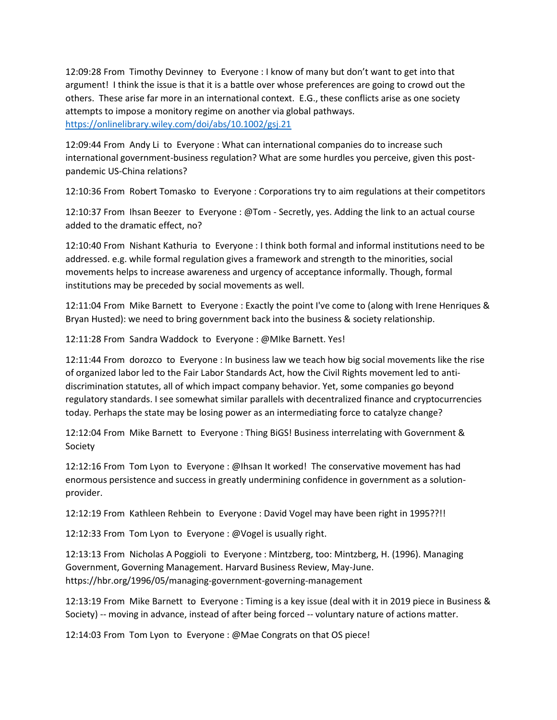12:09:28 From Timothy Devinney to Everyone : I know of many but don't want to get into that argument! I think the issue is that it is a battle over whose preferences are going to crowd out the others. These arise far more in an international context. E.G., these conflicts arise as one society attempts to impose a monitory regime on another via global pathways. <https://onlinelibrary.wiley.com/doi/abs/10.1002/gsj.21>

12:09:44 From Andy Li to Everyone : What can international companies do to increase such international government-business regulation? What are some hurdles you perceive, given this postpandemic US-China relations?

12:10:36 From Robert Tomasko to Everyone : Corporations try to aim regulations at their competitors

12:10:37 From Ihsan Beezer to Everyone : @Tom - Secretly, yes. Adding the link to an actual course added to the dramatic effect, no?

12:10:40 From Nishant Kathuria to Everyone : I think both formal and informal institutions need to be addressed. e.g. while formal regulation gives a framework and strength to the minorities, social movements helps to increase awareness and urgency of acceptance informally. Though, formal institutions may be preceded by social movements as well.

12:11:04 From Mike Barnett to Everyone : Exactly the point I've come to (along with Irene Henriques & Bryan Husted): we need to bring government back into the business & society relationship.

12:11:28 From Sandra Waddock to Everyone : @MIke Barnett. Yes!

12:11:44 From dorozco to Everyone : In business law we teach how big social movements like the rise of organized labor led to the Fair Labor Standards Act, how the Civil Rights movement led to antidiscrimination statutes, all of which impact company behavior. Yet, some companies go beyond regulatory standards. I see somewhat similar parallels with decentralized finance and cryptocurrencies today. Perhaps the state may be losing power as an intermediating force to catalyze change?

12:12:04 From Mike Barnett to Everyone : Thing BiGS! Business interrelating with Government & Society

12:12:16 From Tom Lyon to Everyone : @Ihsan It worked! The conservative movement has had enormous persistence and success in greatly undermining confidence in government as a solutionprovider.

12:12:19 From Kathleen Rehbein to Everyone : David Vogel may have been right in 1995??!!

12:12:33 From Tom Lyon to Everyone : @Vogel is usually right.

12:13:13 From Nicholas A Poggioli to Everyone : Mintzberg, too: Mintzberg, H. (1996). Managing Government, Governing Management. Harvard Business Review, May-June. https://hbr.org/1996/05/managing-government-governing-management

12:13:19 From Mike Barnett to Everyone : Timing is a key issue (deal with it in 2019 piece in Business & Society) -- moving in advance, instead of after being forced -- voluntary nature of actions matter.

12:14:03 From Tom Lyon to Everyone : @Mae Congrats on that OS piece!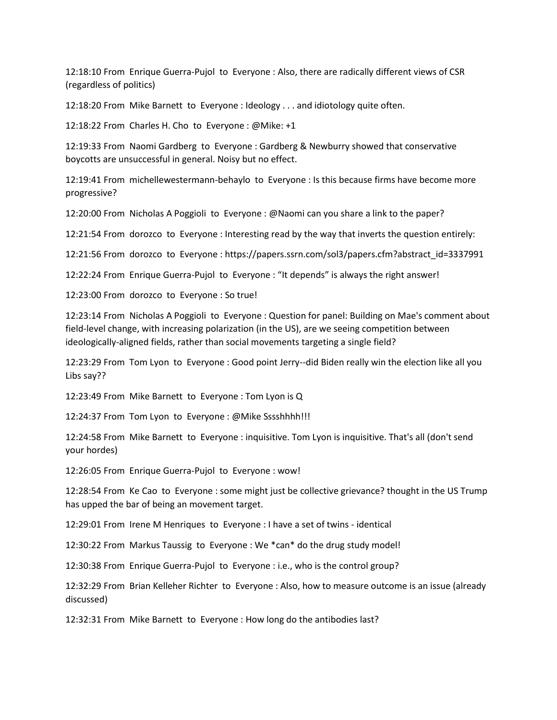12:18:10 From Enrique Guerra-Pujol to Everyone : Also, there are radically different views of CSR (regardless of politics)

12:18:20 From Mike Barnett to Everyone : Ideology . . . and idiotology quite often.

12:18:22 From Charles H. Cho to Everyone : @Mike: +1

12:19:33 From Naomi Gardberg to Everyone : Gardberg & Newburry showed that conservative boycotts are unsuccessful in general. Noisy but no effect.

12:19:41 From michellewestermann-behaylo to Everyone : Is this because firms have become more progressive?

12:20:00 From Nicholas A Poggioli to Everyone : @Naomi can you share a link to the paper?

12:21:54 From dorozco to Everyone : Interesting read by the way that inverts the question entirely:

12:21:56 From dorozco to Everyone : https://papers.ssrn.com/sol3/papers.cfm?abstract\_id=3337991

12:22:24 From Enrique Guerra-Pujol to Everyone : "It depends" is always the right answer!

12:23:00 From dorozco to Everyone : So true!

12:23:14 From Nicholas A Poggioli to Everyone : Question for panel: Building on Mae's comment about field-level change, with increasing polarization (in the US), are we seeing competition between ideologically-aligned fields, rather than social movements targeting a single field?

12:23:29 From Tom Lyon to Everyone : Good point Jerry--did Biden really win the election like all you Libs say??

12:23:49 From Mike Barnett to Everyone : Tom Lyon is Q

12:24:37 From Tom Lyon to Everyone : @Mike Sssshhhh!!!

12:24:58 From Mike Barnett to Everyone : inquisitive. Tom Lyon is inquisitive. That's all (don't send your hordes)

12:26:05 From Enrique Guerra-Pujol to Everyone : wow!

12:28:54 From Ke Cao to Everyone : some might just be collective grievance? thought in the US Trump has upped the bar of being an movement target.

12:29:01 From Irene M Henriques to Everyone : I have a set of twins - identical

12:30:22 From Markus Taussig to Everyone : We \*can\* do the drug study model!

12:30:38 From Enrique Guerra-Pujol to Everyone : i.e., who is the control group?

12:32:29 From Brian Kelleher Richter to Everyone : Also, how to measure outcome is an issue (already discussed)

12:32:31 From Mike Barnett to Everyone : How long do the antibodies last?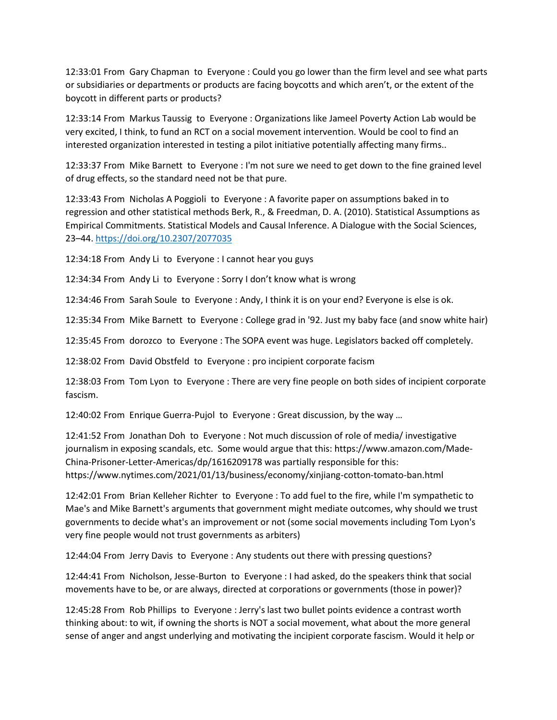12:33:01 From Gary Chapman to Everyone : Could you go lower than the firm level and see what parts or subsidiaries or departments or products are facing boycotts and which aren't, or the extent of the boycott in different parts or products?

12:33:14 From Markus Taussig to Everyone : Organizations like Jameel Poverty Action Lab would be very excited, I think, to fund an RCT on a social movement intervention. Would be cool to find an interested organization interested in testing a pilot initiative potentially affecting many firms..

12:33:37 From Mike Barnett to Everyone : I'm not sure we need to get down to the fine grained level of drug effects, so the standard need not be that pure.

12:33:43 From Nicholas A Poggioli to Everyone : A favorite paper on assumptions baked in to regression and other statistical methods Berk, R., & Freedman, D. A. (2010). Statistical Assumptions as Empirical Commitments. Statistical Models and Causal Inference. A Dialogue with the Social Sciences, 23–44.<https://doi.org/10.2307/2077035>

12:34:18 From Andy Li to Everyone : I cannot hear you guys

12:34:34 From Andy Li to Everyone : Sorry I don't know what is wrong

12:34:46 From Sarah Soule to Everyone : Andy, I think it is on your end? Everyone is else is ok.

12:35:34 From Mike Barnett to Everyone : College grad in '92. Just my baby face (and snow white hair)

12:35:45 From dorozco to Everyone : The SOPA event was huge. Legislators backed off completely.

12:38:02 From David Obstfeld to Everyone : pro incipient corporate facism

12:38:03 From Tom Lyon to Everyone : There are very fine people on both sides of incipient corporate fascism.

12:40:02 From Enrique Guerra-Pujol to Everyone : Great discussion, by the way …

12:41:52 From Jonathan Doh to Everyone : Not much discussion of role of media/ investigative journalism in exposing scandals, etc. Some would argue that this: https://www.amazon.com/Made-China-Prisoner-Letter-Americas/dp/1616209178 was partially responsible for this: https://www.nytimes.com/2021/01/13/business/economy/xinjiang-cotton-tomato-ban.html

12:42:01 From Brian Kelleher Richter to Everyone : To add fuel to the fire, while I'm sympathetic to Mae's and Mike Barnett's arguments that government might mediate outcomes, why should we trust governments to decide what's an improvement or not (some social movements including Tom Lyon's very fine people would not trust governments as arbiters)

12:44:04 From Jerry Davis to Everyone : Any students out there with pressing questions?

12:44:41 From Nicholson, Jesse-Burton to Everyone : I had asked, do the speakers think that social movements have to be, or are always, directed at corporations or governments (those in power)?

12:45:28 From Rob Phillips to Everyone : Jerry's last two bullet points evidence a contrast worth thinking about: to wit, if owning the shorts is NOT a social movement, what about the more general sense of anger and angst underlying and motivating the incipient corporate fascism. Would it help or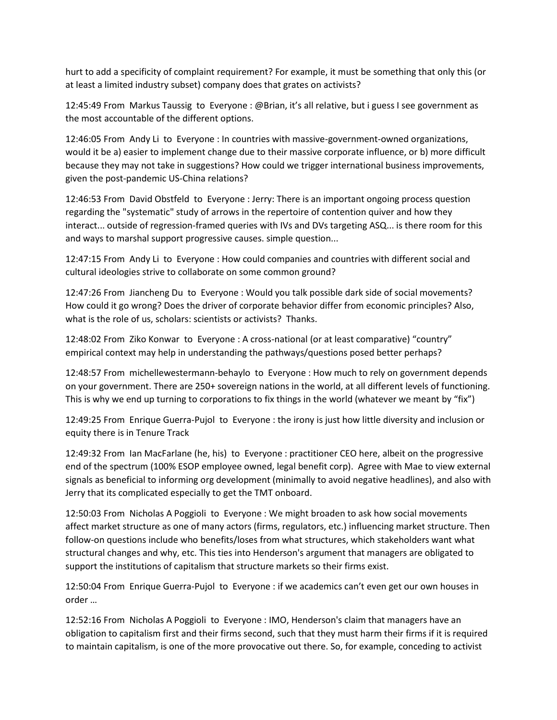hurt to add a specificity of complaint requirement? For example, it must be something that only this (or at least a limited industry subset) company does that grates on activists?

12:45:49 From Markus Taussig to Everyone : @Brian, it's all relative, but i guess I see government as the most accountable of the different options.

12:46:05 From Andy Li to Everyone : In countries with massive-government-owned organizations, would it be a) easier to implement change due to their massive corporate influence, or b) more difficult because they may not take in suggestions? How could we trigger international business improvements, given the post-pandemic US-China relations?

12:46:53 From David Obstfeld to Everyone : Jerry: There is an important ongoing process question regarding the "systematic" study of arrows in the repertoire of contention quiver and how they interact... outside of regression-framed queries with IVs and DVs targeting ASQ... is there room for this and ways to marshal support progressive causes. simple question...

12:47:15 From Andy Li to Everyone : How could companies and countries with different social and cultural ideologies strive to collaborate on some common ground?

12:47:26 From Jiancheng Du to Everyone : Would you talk possible dark side of social movements? How could it go wrong? Does the driver of corporate behavior differ from economic principles? Also, what is the role of us, scholars: scientists or activists? Thanks.

12:48:02 From Ziko Konwar to Everyone : A cross-national (or at least comparative) "country" empirical context may help in understanding the pathways/questions posed better perhaps?

12:48:57 From michellewestermann-behaylo to Everyone : How much to rely on government depends on your government. There are 250+ sovereign nations in the world, at all different levels of functioning. This is why we end up turning to corporations to fix things in the world (whatever we meant by "fix")

12:49:25 From Enrique Guerra-Pujol to Everyone : the irony is just how little diversity and inclusion or equity there is in Tenure Track

12:49:32 From Ian MacFarlane (he, his) to Everyone : practitioner CEO here, albeit on the progressive end of the spectrum (100% ESOP employee owned, legal benefit corp). Agree with Mae to view external signals as beneficial to informing org development (minimally to avoid negative headlines), and also with Jerry that its complicated especially to get the TMT onboard.

12:50:03 From Nicholas A Poggioli to Everyone : We might broaden to ask how social movements affect market structure as one of many actors (firms, regulators, etc.) influencing market structure. Then follow-on questions include who benefits/loses from what structures, which stakeholders want what structural changes and why, etc. This ties into Henderson's argument that managers are obligated to support the institutions of capitalism that structure markets so their firms exist.

12:50:04 From Enrique Guerra-Pujol to Everyone : if we academics can't even get our own houses in order …

12:52:16 From Nicholas A Poggioli to Everyone : IMO, Henderson's claim that managers have an obligation to capitalism first and their firms second, such that they must harm their firms if it is required to maintain capitalism, is one of the more provocative out there. So, for example, conceding to activist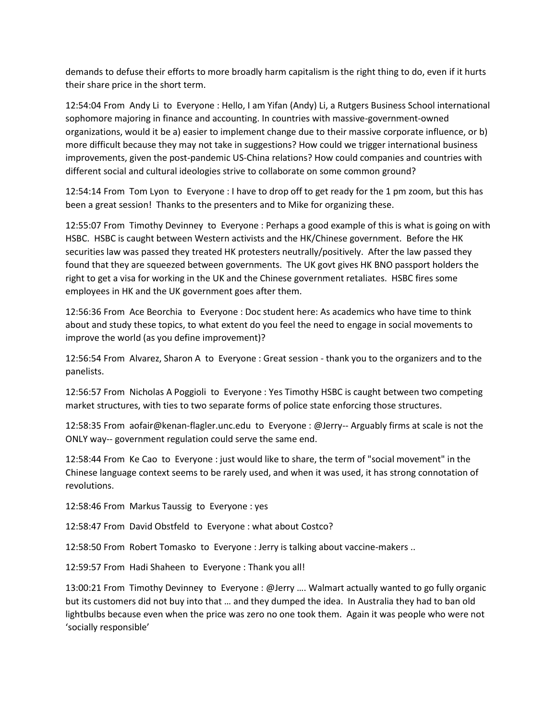demands to defuse their efforts to more broadly harm capitalism is the right thing to do, even if it hurts their share price in the short term.

12:54:04 From Andy Li to Everyone : Hello, I am Yifan (Andy) Li, a Rutgers Business School international sophomore majoring in finance and accounting. In countries with massive-government-owned organizations, would it be a) easier to implement change due to their massive corporate influence, or b) more difficult because they may not take in suggestions? How could we trigger international business improvements, given the post-pandemic US-China relations? How could companies and countries with different social and cultural ideologies strive to collaborate on some common ground?

12:54:14 From Tom Lyon to Everyone : I have to drop off to get ready for the 1 pm zoom, but this has been a great session! Thanks to the presenters and to Mike for organizing these.

12:55:07 From Timothy Devinney to Everyone : Perhaps a good example of this is what is going on with HSBC. HSBC is caught between Western activists and the HK/Chinese government. Before the HK securities law was passed they treated HK protesters neutrally/positively. After the law passed they found that they are squeezed between governments. The UK govt gives HK BNO passport holders the right to get a visa for working in the UK and the Chinese government retaliates. HSBC fires some employees in HK and the UK government goes after them.

12:56:36 From Ace Beorchia to Everyone : Doc student here: As academics who have time to think about and study these topics, to what extent do you feel the need to engage in social movements to improve the world (as you define improvement)?

12:56:54 From Alvarez, Sharon A to Everyone : Great session - thank you to the organizers and to the panelists.

12:56:57 From Nicholas A Poggioli to Everyone : Yes Timothy HSBC is caught between two competing market structures, with ties to two separate forms of police state enforcing those structures.

12:58:35 From aofair@kenan-flagler.unc.edu to Everyone : @Jerry-- Arguably firms at scale is not the ONLY way-- government regulation could serve the same end.

12:58:44 From Ke Cao to Everyone : just would like to share, the term of "social movement" in the Chinese language context seems to be rarely used, and when it was used, it has strong connotation of revolutions.

12:58:46 From Markus Taussig to Everyone : yes

12:58:47 From David Obstfeld to Everyone : what about Costco?

12:58:50 From Robert Tomasko to Everyone : Jerry is talking about vaccine-makers ..

12:59:57 From Hadi Shaheen to Everyone : Thank you all!

13:00:21 From Timothy Devinney to Everyone : @Jerry …. Walmart actually wanted to go fully organic but its customers did not buy into that … and they dumped the idea. In Australia they had to ban old lightbulbs because even when the price was zero no one took them. Again it was people who were not 'socially responsible'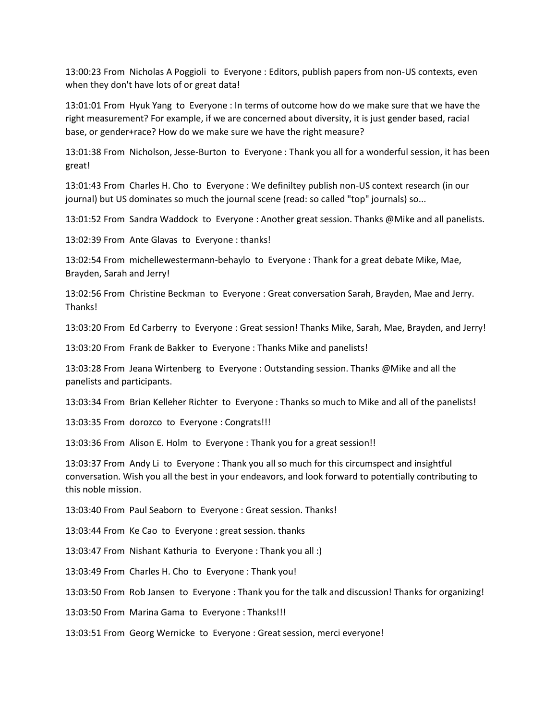13:00:23 From Nicholas A Poggioli to Everyone : Editors, publish papers from non-US contexts, even when they don't have lots of or great data!

13:01:01 From Hyuk Yang to Everyone : In terms of outcome how do we make sure that we have the right measurement? For example, if we are concerned about diversity, it is just gender based, racial base, or gender+race? How do we make sure we have the right measure?

13:01:38 From Nicholson, Jesse-Burton to Everyone : Thank you all for a wonderful session, it has been great!

13:01:43 From Charles H. Cho to Everyone : We definiltey publish non-US context research (in our journal) but US dominates so much the journal scene (read: so called "top" journals) so...

13:01:52 From Sandra Waddock to Everyone : Another great session. Thanks @Mike and all panelists.

13:02:39 From Ante Glavas to Everyone : thanks!

13:02:54 From michellewestermann-behaylo to Everyone : Thank for a great debate Mike, Mae, Brayden, Sarah and Jerry!

13:02:56 From Christine Beckman to Everyone : Great conversation Sarah, Brayden, Mae and Jerry. Thanks!

13:03:20 From Ed Carberry to Everyone : Great session! Thanks Mike, Sarah, Mae, Brayden, and Jerry!

13:03:20 From Frank de Bakker to Everyone : Thanks Mike and panelists!

13:03:28 From Jeana Wirtenberg to Everyone : Outstanding session. Thanks @Mike and all the panelists and participants.

13:03:34 From Brian Kelleher Richter to Everyone : Thanks so much to Mike and all of the panelists!

13:03:35 From dorozco to Everyone : Congrats!!!

13:03:36 From Alison E. Holm to Everyone : Thank you for a great session!!

13:03:37 From Andy Li to Everyone : Thank you all so much for this circumspect and insightful conversation. Wish you all the best in your endeavors, and look forward to potentially contributing to this noble mission.

13:03:40 From Paul Seaborn to Everyone : Great session. Thanks!

13:03:44 From Ke Cao to Everyone : great session. thanks

13:03:47 From Nishant Kathuria to Everyone : Thank you all :)

13:03:49 From Charles H. Cho to Everyone : Thank you!

13:03:50 From Rob Jansen to Everyone : Thank you for the talk and discussion! Thanks for organizing!

13:03:50 From Marina Gama to Everyone : Thanks!!!

13:03:51 From Georg Wernicke to Everyone : Great session, merci everyone!